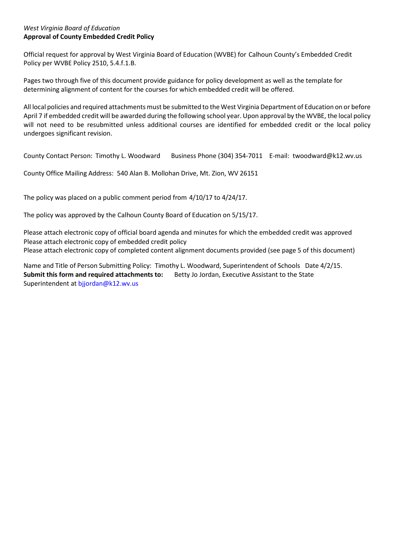#### *West Virginia Board of Education* **Approval of County Embedded Credit Policy**

Official request for approval by West Virginia Board of Education (WVBE) for Calhoun County's Embedded Credit Policy per WVBE Policy 2510, 5.4.f.1.B.

Pages two through five of this document provide guidance for policy development as well as the template for determining alignment of content for the courses for which embedded credit will be offered.

All local policies and required attachments must be submitted to the West Virginia Department of Education on or before April 7 if embedded credit will be awarded during the following school year. Upon approval by the WVBE, the local policy will not need to be resubmitted unless additional courses are identified for embedded credit or the local policy undergoes significant revision.

County Contact Person: Timothy L. Woodward Business Phone (304) 354-7011 E-mail: [twoodward@k12.wv.us](mailto:twoodward@k12.wv.us)

County Office Mailing Address: 540 Alan B. Mollohan Drive, Mt. Zion, WV 26151

The policy was placed on a public comment period from 4/10/17 to 4/24/17.

The policy was approved by the Calhoun County Board of Education on 5/15/17.

Please attach electronic copy of official board agenda and minutes for which the embedded credit was approved Please attach electronic copy of embedded credit policy Please attach electronic copy of completed content alignment documents provided (see page 5 of this document)

Name and Title of Person Submitting Policy: Timothy L. Woodward, Superintendent of Schools Date 4/2/15. **Submit this form and required attachments to:** Betty Jo Jordan, Executive Assistant to the State Superintendent a[t bjjordan@k12.wv.us](mailto:bjjordan@k12.wv.us)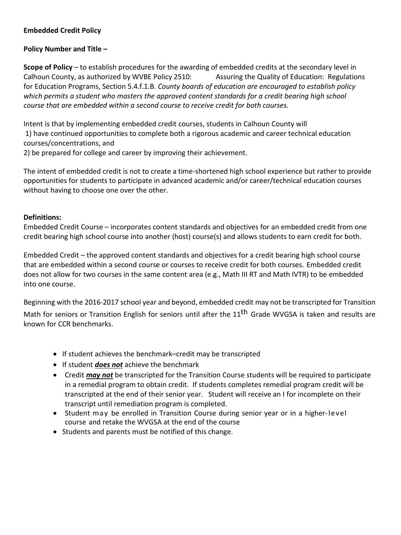# **Embedded Credit Policy**

## **Policy Number and Title –**

**Scope of Policy** – to establish procedures for the awarding of embedded credits at the secondary level in Calhoun County, as authorized by WVBE Policy 2510: Assuring the Quality of Education: Regulations for Education Programs, Section 5.4.f.1.B. *County boards of education are encouraged to establish policy which permits a student who masters the approved content standards for a credit bearing high school course that are embedded within a second course to receive credit for both courses.*

Intent is that by implementing embedded credit courses, students in Calhoun County will 1) have continued opportunities to complete both a rigorous academic and career technical education courses/concentrations, and

2) be prepared for college and career by improving their achievement.

The intent of embedded credit is not to create a time-shortened high school experience but rather to provide opportunities for students to participate in advanced academic and/or career/technical education courses without having to choose one over the other.

### **Definitions:**

Embedded Credit Course – incorporates content standards and objectives for an embedded credit from one credit bearing high school course into another (host) course(s) and allows students to earn credit for both.

Embedded Credit – the approved content standards and objectives for a credit bearing high school course that are embedded within a second course or courses to receive credit for both courses. Embedded credit does not allow for two courses in the same content area (e.g., Math III RT and Math IVTR) to be embedded into one course.

Beginning with the 2016-2017 school year and beyond, embedded credit may not be transcripted for Transition Math for seniors or Transition English for seniors until after the 11<sup>th</sup> Grade WVGSA is taken and results are known for CCR benchmarks.

- If student achieves the benchmark–credit may be transcripted
- If student *does not* achieve the benchmark
- Credit *may not* be transcripted for the Transition Course students will be required to participate in a remedial program to obtain credit. If students completes remedial program credit will be transcripted at the end of their senior year. Student will receive an I for incomplete on their transcript until remediation program is completed.
- Student may be enrolled in Transition Course during senior year or in a higher-level course and retake the WVGSA at the end of the course
- Students and parents must be notified of this change.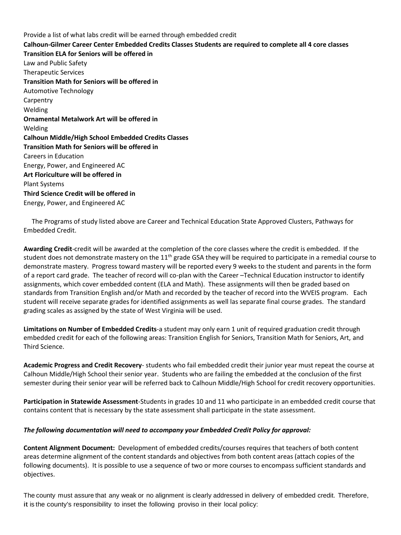Provide a list of what labs credit will be earned through embedded credit **Calhoun-Gilmer Career Center Embedded Credits Classes Students are required to complete all 4 core classes Transition ELA for Seniors will be offered in**  Law and Public Safety Therapeutic Services **Transition Math for Seniors will be offered in**  Automotive Technology **Carpentry** Welding **Ornamental Metalwork Art will be offered in** Welding **Calhoun Middle/High School Embedded Credits Classes Transition Math for Seniors will be offered in** Careers in Education Energy, Power, and Engineered AC **Art Floriculture will be offered in** Plant Systems **Third Science Credit will be offered in** Energy, Power, and Engineered AC

 The Programs of study listed above are Career and Technical Education State Approved Clusters, Pathways for Embedded Credit.

**Awarding Credit**-credit will be awarded at the completion of the core classes where the credit is embedded. If the student does not demonstrate mastery on the 11<sup>th</sup> grade GSA they will be required to participate in a remedial course to demonstrate mastery. Progress toward mastery will be reported every 9 weeks to the student and parents in the form of a report card grade. The teacher of record will co-plan with the Career –Technical Education instructor to identify assignments, which cover embedded content (ELA and Math). These assignments will then be graded based on standards from Transition English and/or Math and recorded by the teacher of record into the WVEIS program. Each student will receive separate grades for identified assignments as well las separate final course grades. The standard grading scales as assigned by the state of West Virginia will be used.

**Limitations on Number of Embedded Credits**-a student may only earn 1 unit of required graduation credit through embedded credit for each of the following areas: Transition English for Seniors, Transition Math for Seniors, Art, and Third Science.

**Academic Progress and Credit Recovery**- students who fail embedded credit their junior year must repeat the course at Calhoun Middle/High School their senior year. Students who are failing the embedded at the conclusion of the first semester during their senior year will be referred back to Calhoun Middle/High School for credit recovery opportunities.

**Participation in Statewide Assessment**-Students in grades 10 and 11 who participate in an embedded credit course that contains content that is necessary by the state assessment shall participate in the state assessment.

#### *The following documentation will need to accompany your Embedded Credit Policy for approval:*

**Content Alignment Document:** Development of embedded credits/courses requires that teachers of both content areas determine alignment of the content standards and objectives from both content areas (attach copies of the following documents). It is possible to use a sequence of two or more courses to encompass sufficient standards and objectives.

The county must assure that any weak or no alignment is clearly addressed in delivery of embedded credit. Therefore, it is the county's responsibility to inset the following proviso in their local policy: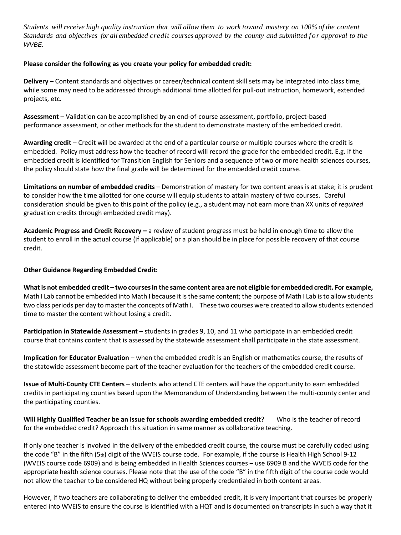Students will receive high quality instruction that will allow them to work toward mastery on 100% of the content Standards and objectives for all embedded credit courses approved by the county and submitted for approval to the *WVBE.*

#### **Please consider the following as you create your policy for embedded credit:**

**Delivery** – Content standards and objectives or career/technical content skill sets may be integrated into class time, while some may need to be addressed through additional time allotted for pull-out instruction, homework, extended projects, etc.

**Assessment** – Validation can be accomplished by an end-of-course assessment, portfolio, project-based performance assessment, or other methods for the student to demonstrate mastery of the embedded credit.

**Awarding credit** – Credit will be awarded at the end of a particular course or multiple courses where the credit is embedded. Policy must address how the teacher of record will record the grade for the embedded credit. E.g. if the embedded credit is identified for Transition English for Seniors and a sequence of two or more health sciences courses, the policy should state how the final grade will be determined for the embedded credit course.

**Limitations on number of embedded credits** – Demonstration of mastery for two content areas is at stake; it is prudent to consider how the time allotted for one course will equip students to attain mastery of two courses. Careful consideration should be given to this point of the policy (e.g., a student may not earn more than XX units of *required* graduation credits through embedded credit may).

**Academic Progress and Credit Recovery –** a review of student progress must be held in enough time to allow the student to enroll in the actual course (if applicable) or a plan should be in place for possible recovery of that course credit.

#### **Other Guidance Regarding Embedded Credit:**

What is not embedded credit - two courses in the same content area are not eligible for embedded credit. For example, Math I Lab cannot be embedded into Math I because it is the same content; the purpose of Math I Lab isto allow students two class periods per day to master the concepts of Math I. These two courses were created to allow students extended time to master the content without losing a credit.

**Participation in Statewide Assessment** – students in grades 9, 10, and 11 who participate in an embedded credit course that contains content that is assessed by the statewide assessment shall participate in the state assessment.

**Implication for Educator Evaluation** – when the embedded credit is an English or mathematics course, the results of the statewide assessment become part of the teacher evaluation for the teachers of the embedded credit course.

**Issue of Multi-County CTE Centers** – students who attend CTE centers will have the opportunity to earn embedded credits in participating counties based upon the Memorandum of Understanding between the multi-county center and the participating counties.

**Will Highly Qualified Teacher be an issue for schools awarding embedded credit**? Who is the teacher of record for the embedded credit? Approach this situation in same manner as collaborative teaching.

If only one teacher is involved in the delivery of the embedded credit course, the course must be carefully coded using the code "B" in the fifth  $(5<sub>th</sub>)$  digit of the WVEIS course code. For example, if the course is Health High School 9-12 (WVEIS course code 6909) and is being embedded in Health Sciences courses – use 6909 B and the WVEIS code for the appropriate health science courses. Please note that the use of the code "B" in the fifth digit of the course code would not allow the teacher to be considered HQ without being properly credentialed in both content areas.

However, if two teachers are collaborating to deliver the embedded credit, it is very important that courses be properly entered into WVEIS to ensure the course is identified with a HQT and is documented on transcripts in such a way that it